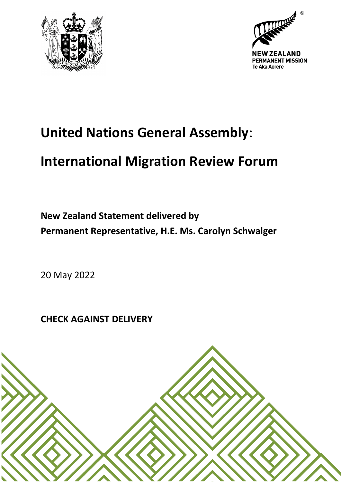



## **United Nations General Assembly**:

## **International Migration Review Forum**

**New Zealand Statement delivered by Permanent Representative, H.E. Ms. Carolyn Schwalger**

20 May 2022

**CHECK AGAINST DELIVERY**

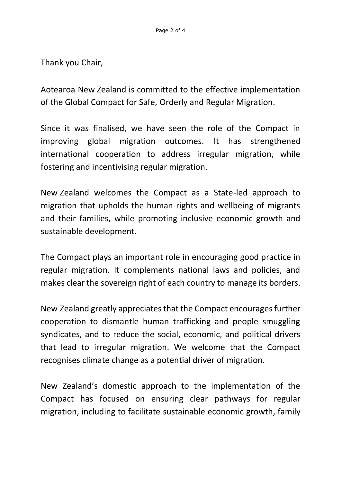Thank you Chair,

Aotearoa New Zealand is committed to the effective implementation of the Global Compact for Safe, Orderly and Regular Migration.

Since it was finalised, we have seen the role of the Compact in improving global migration outcomes. It has strengthened international cooperation to address irregular migration, while fostering and incentivising regular migration.

New Zealand welcomes the Compact as a State-led approach to migration that upholds the human rights and wellbeing of migrants and their families, while promoting inclusive economic growth and sustainable development.

The Compact plays an important role in encouraging good practice in regular migration. It complements national laws and policies, and makes clear the sovereign right of each country to manage its borders.

New Zealand greatly appreciates that the Compact encouragesfurther cooperation to dismantle human trafficking and people smuggling syndicates, and to reduce the social, economic, and political drivers that lead to irregular migration. We welcome that the Compact recognises climate change as a potential driver of migration.

New Zealand's domestic approach to the implementation of the Compact has focused on ensuring clear pathways for regular migration, including to facilitate sustainable economic growth, family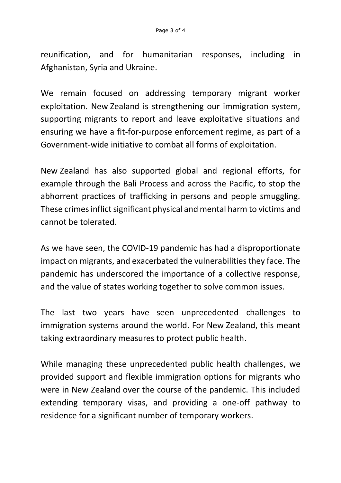reunification, and for humanitarian responses, including in Afghanistan, Syria and Ukraine.

We remain focused on addressing temporary migrant worker exploitation. New Zealand is strengthening our immigration system, supporting migrants to report and leave exploitative situations and ensuring we have a fit-for-purpose enforcement regime, as part of a Government-wide initiative to combat all forms of exploitation.

New Zealand has also supported global and regional efforts, for example through the Bali Process and across the Pacific, to stop the abhorrent practices of trafficking in persons and people smuggling. These crimes inflict significant physical and mental harm to victims and cannot be tolerated.

As we have seen, the COVID-19 pandemic has had a disproportionate impact on migrants, and exacerbated the vulnerabilities they face. The pandemic has underscored the importance of a collective response, and the value of states working together to solve common issues.

The last two years have seen unprecedented challenges to immigration systems around the world. For New Zealand, this meant taking extraordinary measures to protect public health.

While managing these unprecedented public health challenges, we provided support and flexible immigration options for migrants who were in New Zealand over the course of the pandemic. This included extending temporary visas, and providing a one-off pathway to residence for a significant number of temporary workers.